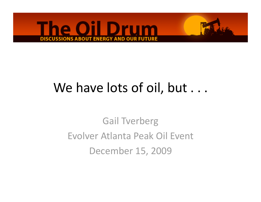

## We have lots of oil, but . . .

Gail Tverberg Evolver Atlanta Peak Oil Event December 15, 2009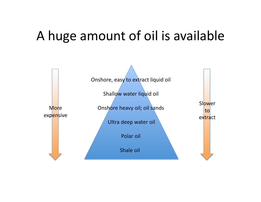### A huge amount of oil is available

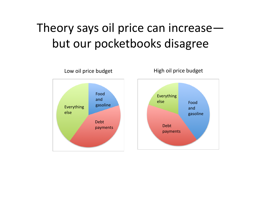## Theory says oil price can increase but our pocketbooks disagree

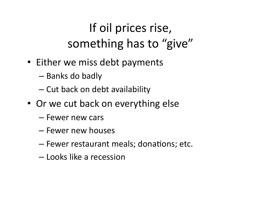# If oil prices rise, something has to "give"

- Either we miss debt payments
	- Banks do badly
	- Cut back on debt availability
- Or we cut back on everything else
	- Fewer new cars
	- Fewer new houses
	- $-$  Fewer restaurant meals; donations; etc.
	- Looks like a recession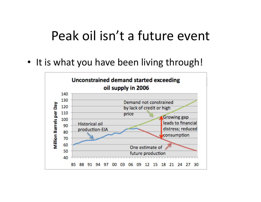#### Peak oil isn't a future event

• It is what you have been living through!

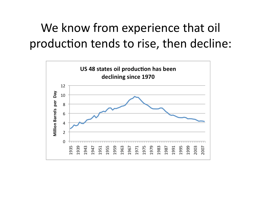## We know from experience that oil production tends to rise, then decline:

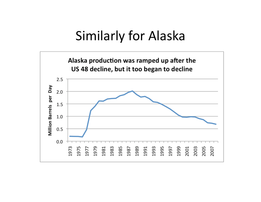### Similarly for Alaska

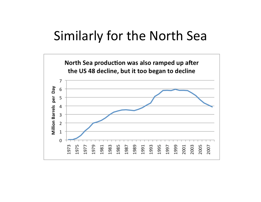#### Similarly for the North Sea

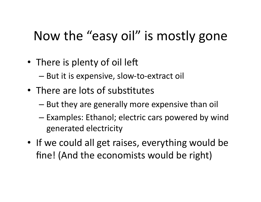# Now the "easy oil" is mostly gone

- There is plenty of oil left
	- But it is expensive, slow‐to‐extract oil
- There are lots of substitutes
	- But they are generally more expensive than oil
	- Examples: Ethanol; electric cars powered by wind generated electricity
- If we could all get raises, everything would be fine! (And the economists would be right)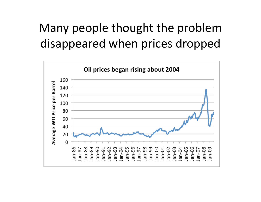## Many people thought the problem disappeared when prices dropped

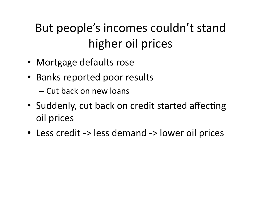# But people's incomes couldn't stand higher oil prices

- Mortgage defaults rose
- Banks reported poor results
	- Cut back on new loans
- Suddenly, cut back on credit started affecting oil prices
- Less credit -> less demand -> lower oil prices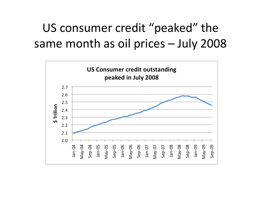### US consumer credit "peaked" the same month as oil prices – July 2008

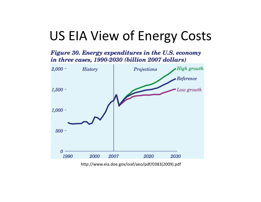## US EIA View of Energy Costs

Figure 30. Energy expenditures in the U.S. economy in three cases, 1990-2030 (billion 2007 dollars)



hfp://www.eia.doe.gov/oiaf/aeo/pdf/0383(2009).pdf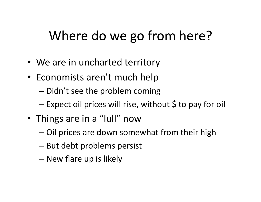## Where do we go from here?

- We are in uncharted territory
- Economists aren't much help
	- Didn't see the problem coming
	- Expect oil prices will rise, without \$ to pay for oil
- Things are in a "lull" now
	- Oil prices are down somewhat from their high
	- But debt problems persist
	- New flare up is likely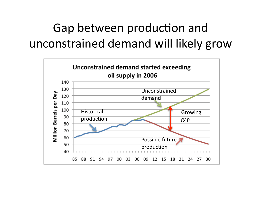## Gap between production and unconstrained demand will likely grow

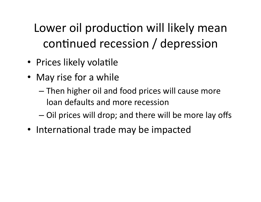Lower oil production will likely mean continued recession / depression

- Prices likely volatile
- May rise for a while
	- Then higher oil and food prices will cause more loan defaults and more recession
	- Oil prices will drop; and there will be more lay offs
- International trade may be impacted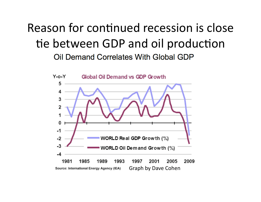#### Reason for continued recession is close tie between GDP and oil production Oil Demand Correlates With Global GDP

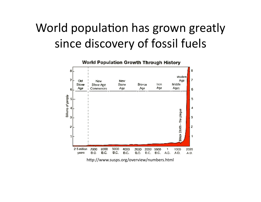### World population has grown greatly since discovery of fossil fuels



hfp://www.susps.org/overview/numbers.html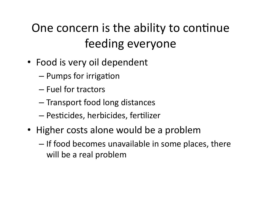## One concern is the ability to continue feeding everyone

- Food is very oil dependent
	- $-$  Pumps for irrigation
	- Fuel for tractors
	- Transport food long distances
	- $-$  Pesticides, herbicides, fertilizer
- Higher costs alone would be a problem
	- If food becomes unavailable in some places, there will be a real problem